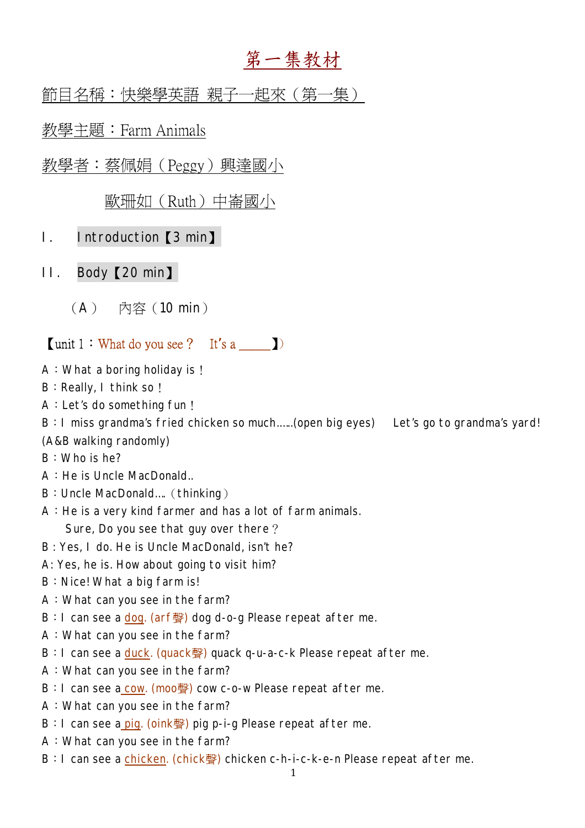# 第一集教材

節目名稱:快樂學英語 親子一起來(第一集)

教學主題:Farm Animals

教學者:蔡佩娟(Peggy)興達國小

歐珊如(Ruth)中崙國小

- I. Introduction【3 min】
- II. Body【20 min】
	- (A) 內容(10 min)

## $\lceil \text{unit } 1 : \text{What do you see ?} \quad \text{It's a} \qquad \rceil$

- A:What a boring holiday is!
- B: Really, I think so!
- A:Let's do something fun!

B:I miss grandma's fried chicken so much.…..(open big eyes) Let's go to grandma's yard! (A&B walking randomly)

B:Who is he?

- A:He is Uncle MacDonald..
- B: Uncle MacDonald.... (thinking)
- A:He is a very kind farmer and has a lot of farm animals. Sure, Do you see that guy over there?
- B : Yes, I do. He is Uncle MacDonald, isn't he?
- A: Yes, he is. How about going to visit him?
- B: Nice! What a big farm is!
- A:What can you see in the farm?
- B: I can see a dog. (arf聲) dog d-o-g Please repeat after me.
- A:What can you see in the farm?
- B: I can see a duck. (quack聲) quack q-u-a-c-k Please repeat after me.
- A:What can you see in the farm?
- B: I can see a cow. (moo聲) cow c-o-w Please repeat after me.
- A:What can you see in the farm?
- B: I can see a pig. (oink聲) pig p-i-g Please repeat after me.
- A:What can you see in the farm?
- B: I can see a chicken. (chick聲) chicken c-h-i-c-k-e-n Please repeat after me.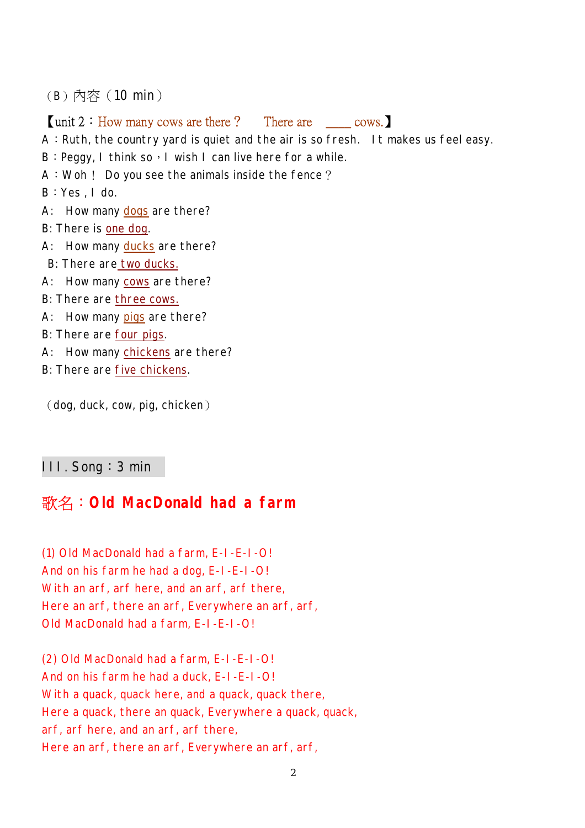(B)內容(10 min)

### 【unit 2:How many cows are there? There are \_\_\_\_ cows.】

A: Ruth, the country yard is quiet and the air is so fresh. It makes us feel easy.

- $B:$  Peggy, I think so, I wish I can live here for a while.
- A:Woh! Do you see the animals inside the fence?

B:Yes , I do.

- A: How many dogs are there?
- B: There is one dog.
- A: How many ducks are there?
- B: There are two ducks.
- A: How many cows are there?
- B: There are three cows.
- A: How many pigs are there?
- B: There are four pigs.
- A: How many chickens are there?
- B: There are five chickens.

(dog, duck, cow, pig, chicken)

#### III. Song:3 min

## 歌名:**Old MacDonald had a farm**

(1) Old MacDonald had a farm, E-I-E-I-O! And on his farm he had a dog, E-I-E-I-O! With an arf, arf here, and an arf, arf there, Here an arf, there an arf, Everywhere an arf, arf, Old MacDonald had a farm, E-I-E-I-O!

(2) Old MacDonald had a farm, E-I-E-I-O! And on his farm he had a duck, E-I-E-I-O! With a quack, quack here, and a quack, quack there, Here a quack, there an quack, Everywhere a quack, quack, arf, arf here, and an arf, arf there, Here an arf, there an arf, Everywhere an arf, arf,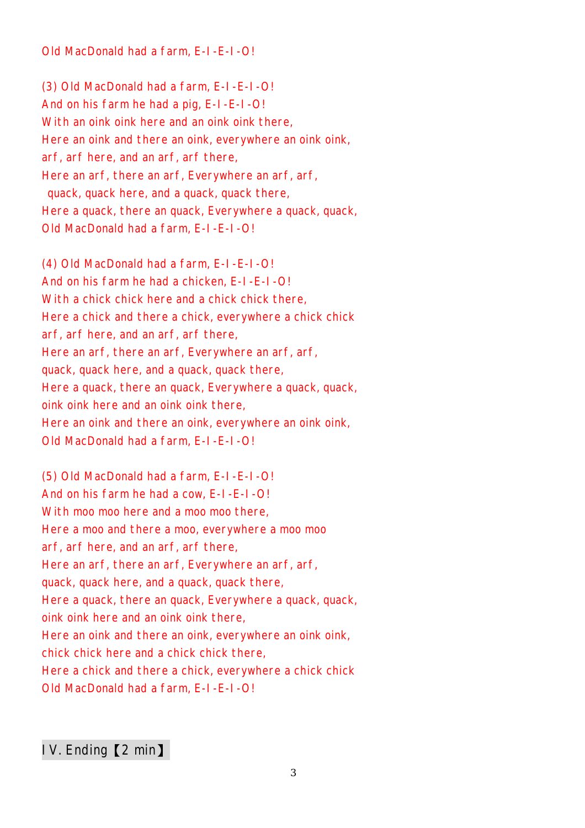Old MacDonald had a farm, E-I-E-I-O!

(3) Old MacDonald had a farm, E-I-E-I-O! And on his farm he had a pig, E-I-E-I-O! With an oink oink here and an oink oink there, Here an oink and there an oink, everywhere an oink oink, arf, arf here, and an arf, arf there, Here an arf, there an arf, Everywhere an arf, arf, quack, quack here, and a quack, quack there, Here a quack, there an quack, Everywhere a quack, quack, Old MacDonald had a farm, E-I-E-I-O!

(4) Old MacDonald had a farm, E-I-E-I-O! And on his farm he had a chicken, E-I-E-I-O! With a chick chick here and a chick chick there, Here a chick and there a chick, everywhere a chick chick arf, arf here, and an arf, arf there, Here an arf, there an arf, Everywhere an arf, arf, quack, quack here, and a quack, quack there, Here a quack, there an quack, Everywhere a quack, quack, oink oink here and an oink oink there, Here an oink and there an oink, everywhere an oink oink, Old MacDonald had a farm, E-I-E-I-O!

(5) Old MacDonald had a farm, E-I-E-I-O! And on his farm he had a cow, E-I-E-I-O! With moo moo here and a moo moo there. Here a moo and there a moo, everywhere a moo moo arf, arf here, and an arf, arf there, Here an arf, there an arf, Everywhere an arf, arf, quack, quack here, and a quack, quack there, Here a quack, there an quack, Everywhere a quack, quack, oink oink here and an oink oink there, Here an oink and there an oink, everywhere an oink oink, chick chick here and a chick chick there, Here a chick and there a chick, everywhere a chick chick Old MacDonald had a farm, E-I-E-I-O!

IV. Ending【2 min】